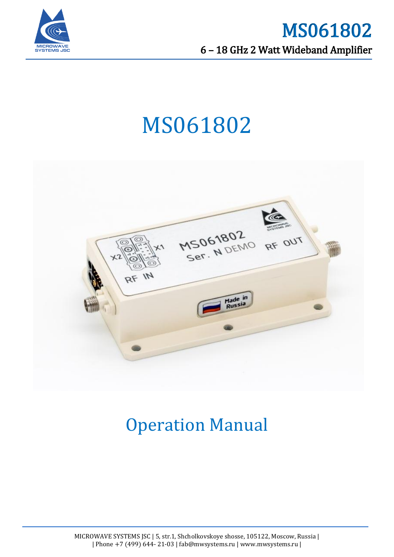



# MS061802



## Operation Manual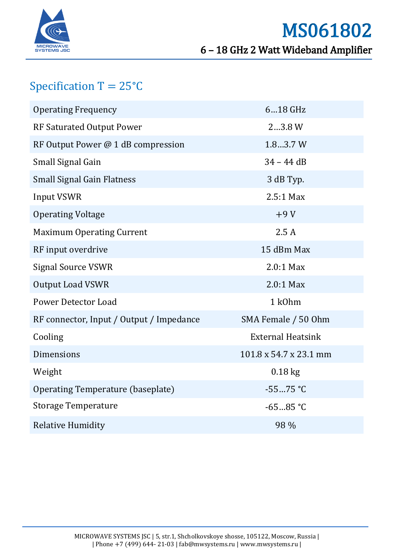

### Specification  $T = 25^{\circ}C$

| <b>Operating Frequency</b>               | 618 GHz                  |
|------------------------------------------|--------------------------|
| <b>RF Saturated Output Power</b>         | 23.8 W                   |
| RF Output Power @ 1 dB compression       | 1.83.7 W                 |
| Small Signal Gain                        | $34 - 44$ dB             |
| <b>Small Signal Gain Flatness</b>        | 3 dB Typ.                |
| <b>Input VSWR</b>                        | $2.5:1$ Max              |
| <b>Operating Voltage</b>                 | $+9V$                    |
| <b>Maximum Operating Current</b>         | 2.5A                     |
| RF input overdrive                       | 15 dBm Max               |
| <b>Signal Source VSWR</b>                | 2.0:1 Max                |
| <b>Output Load VSWR</b>                  | 2.0:1 Max                |
| <b>Power Detector Load</b>               | 1 k0hm                   |
| RF connector, Input / Output / Impedance | SMA Female / 50 Ohm      |
| Cooling                                  | <b>External Heatsink</b> |
| <b>Dimensions</b>                        | 101.8 x 54.7 x 23.1 mm   |
| Weight                                   | $0.18$ kg                |
| Operating Temperature (baseplate)        | $-5575 °C$               |
| <b>Storage Temperature</b>               | $-6585$ °C               |
| <b>Relative Humidity</b>                 | 98 %                     |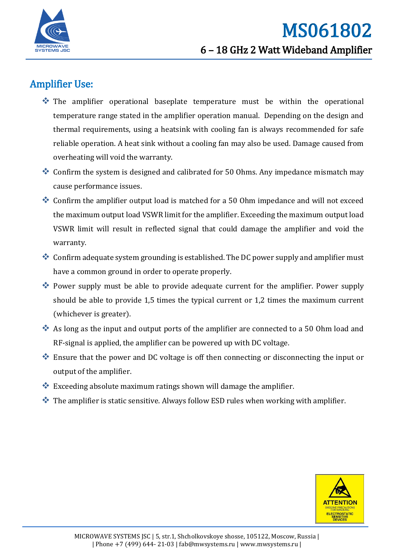

#### Amplifier Use:

- The amplifier operational baseplate temperature must be within the operational temperature range stated in the amplifier operation manual. Depending on the design and thermal requirements, using a heatsink with cooling fan is always recommended for safe reliable operation. A heat sink without a cooling fan may also be used. Damage caused from overheating will void the warranty.
- Confirm the system is designed and calibrated for 50 Ohms. Any impedance mismatch may cause performance issues.
- Confirm the amplifier output load is matched for a 50 Ohm impedance and will not exceed the maximum output load VSWR limit for the amplifier. Exceeding the maximum output load VSWR limit will result in reflected signal that could damage the amplifier and void the warranty.
- Confirm adequate system grounding is established. The DC power supply and amplifier must have a common ground in order to operate properly.
- Power supply must be able to provide adequate current for the amplifier. Power supply should be able to provide 1,5 times the typical current or 1,2 times the maximum current (whichever is greater).
- As long as the input and output ports of the amplifier are connected to a 50 Ohm load and RF-signal is applied, the amplifier can be powered up with DC voltage.
- Ensure that the power and DC voltage is off then connecting or disconnecting the input or output of the amplifier.
- $\bullet$  Exceeding absolute maximum ratings shown will damage the amplifier.
- $\cdot$  The amplifier is static sensitive. Always follow ESD rules when working with amplifier.

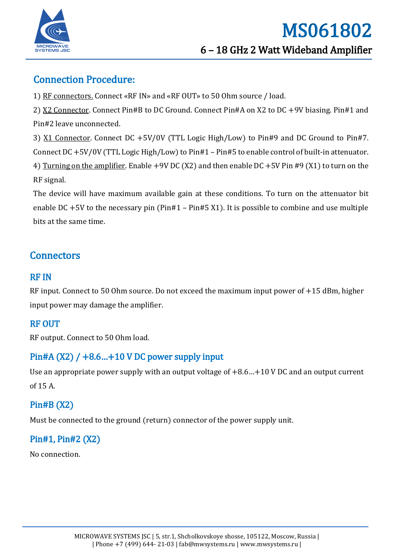

#### Connection Procedure:

1) RF connectors. Connect «RF IN» and «RF OUT» to 50 Ohm source / load.

2) X2 Connector. Connect Pin#B to DC Ground. Connect Pin#A on X2 to DC +9V biasing. Pin#1 and Pin#2 leave unconnected.

3) X1 Connector. Connect DC +5V/0V (TTL Logic High/Low) to Pin#9 and DC Ground to Pin#7. Connect DC +5V/0V (TTL Logic High/Low) to Pin#1 – Pin#5 to enable control of built-in attenuator. 4) Turning on the amplifier. Enable +9V DC (X2) and then enable DC +5V Pin #9 (X1) to turn on the RF signal.

The device will have maximum available gain at these conditions. To turn on the attenuator bit enable DC  $+5V$  to the necessary pin (Pin#1 – Pin#5 X1). It is possible to combine and use multiple bits at the same time.

#### **Connectors**

#### RF IN

RF input. Connect to 50 Ohm source. Do not exceed the maximum input power of +15 dBm, higher input power may damage the amplifier.

#### RF OUT

RF output. Connect to 50 Ohm load.

#### Pin#A  $(X2)$  / +8.6...+10 V DC power supply input

Use an appropriate power supply with an output voltage of +8.6…+10 V DC and an output current of 15 A.

#### Pin#B (X2)

Must be connected to the ground (return) connector of the power supply unit.

#### Pin#1, Pin#2 (X2)

No connection.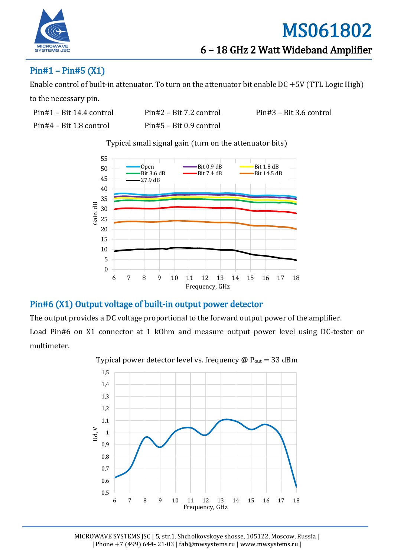

#### Pin#1 – Pin#5 (X1)

Enable control of built-in attenuator. To turn on the attenuator bit enable DC +5V (TTL Logic High)

to the necessary pin.

Pin#4 – Bit 1.8 control Pin#5 – Bit 0.9 control

Pin#1 – Bit 14.4 control Pin#2 – Bit 7.2 control Pin#3 – Bit 3.6 control

Typical small signal gain (turn on the attenuator bits)



#### Pin#6 (X1) Output voltage of built-in output power detector

The output provides a DC voltage proportional to the forward output power of the amplifier. Load Pin#6 on X1 connector at 1 kOhm and measure output power level using DC-tester or multimeter.



Typical power detector level vs. frequency  $\omega$  P<sub>out</sub> = 33 dBm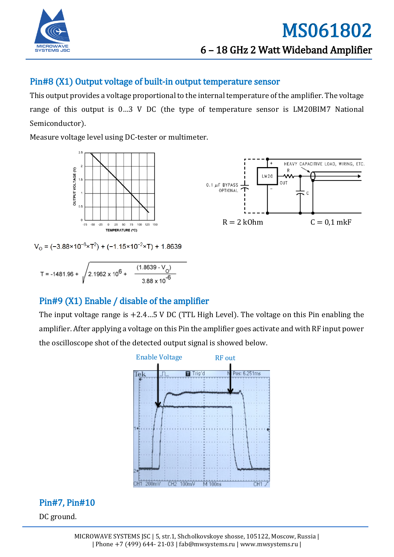

#### Pin#8 (X1) Output voltage of built-in output temperature sensor

This output provides a voltage proportional to the internal temperature of the amplifier. The voltage range of this output is 0…3 V DC (the type of temperature sensor is LM20BIM7 National Semiconductor).

Measure voltage level using DC-tester or multimeter.





 $V_0 = (-3.88 \times 10^{-6} \times T^2) + (-1.15 \times 10^{-2} \times T) + 1.8639$ 

$$
T = -1481.96 + \sqrt{2.1962 \times 10^6 + \frac{(1.8639 - V_0)}{3.88 \times 10^{-6}}}
$$

#### Pin#9 (X1) Enable / disable of the amplifier

The input voltage range is  $+2.4...5$  V DC (TTL High Level). The voltage on this Pin enabling the amplifier. After applying a voltage on this Pin the amplifier goes activate and with RF input power the oscilloscope shot of the detected output signal is showed below.



#### Pin#7, Pin#10

DC ground.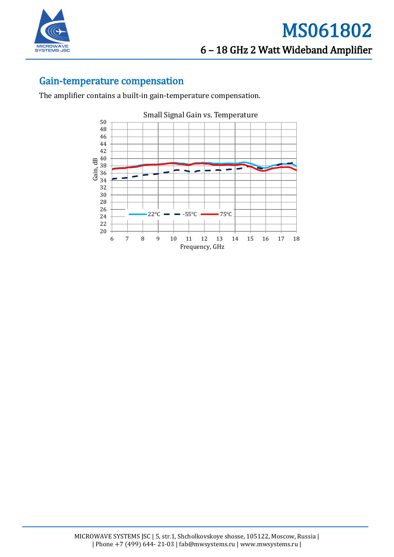

#### Gain-temperature compensation

The amplifier contains a built-in gain-temperature compensation.